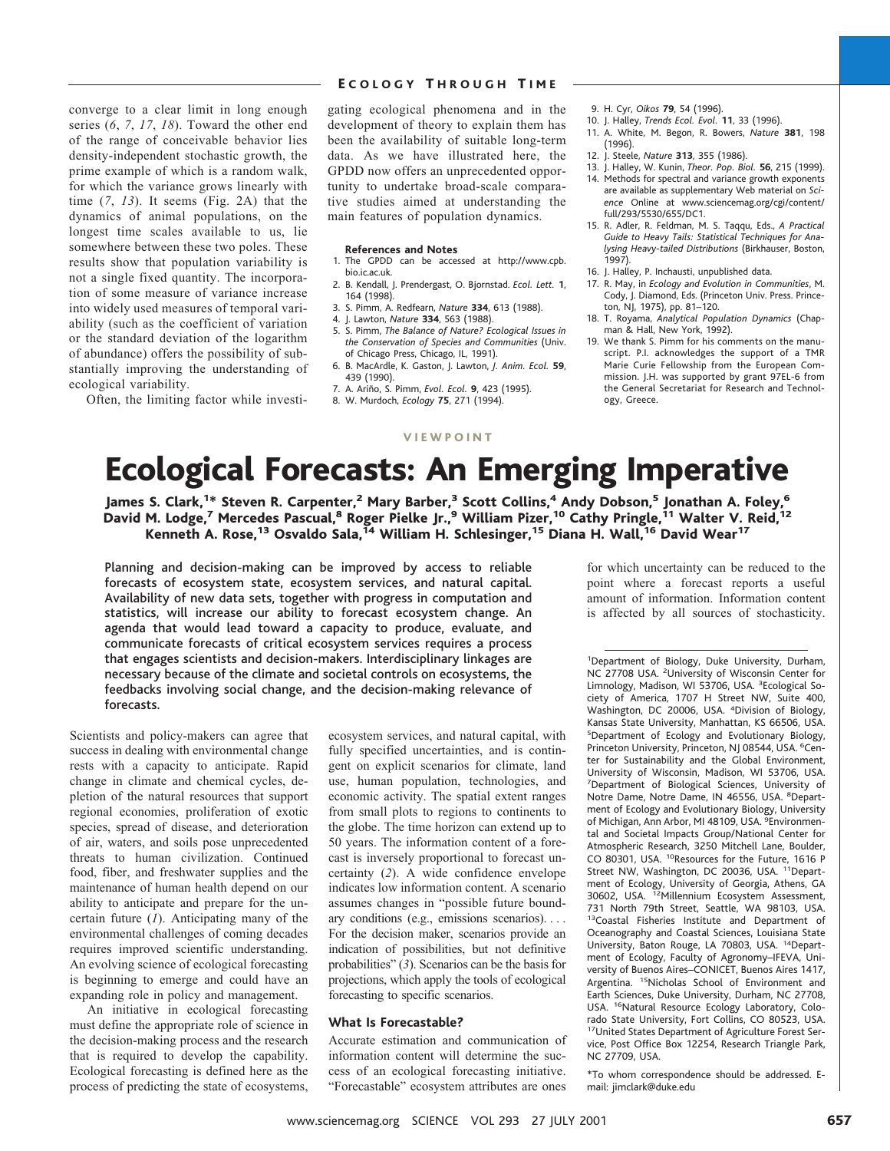converge to a clear limit in long enough series (*6*, *7*, *17*, *18*). Toward the other end of the range of conceivable behavior lies density-independent stochastic growth, the prime example of which is a random walk, for which the variance grows linearly with time (*7*, *13*). It seems (Fig. 2A) that the dynamics of animal populations, on the longest time scales available to us, lie somewhere between these two poles. These results show that population variability is not a single fixed quantity. The incorporation of some measure of variance increase into widely used measures of temporal variability (such as the coefficient of variation or the standard deviation of the logarithm of abundance) offers the possibility of substantially improving the understanding of ecological variability.

Often, the limiting factor while investi-

#### ECOLOGY THROUGH TIME

gating ecological phenomena and in the development of theory to explain them has been the availability of suitable long-term data. As we have illustrated here, the GPDD now offers an unprecedented opportunity to undertake broad-scale comparative studies aimed at understanding the main features of population dynamics.

#### **References and Notes**

- 1. The GPDD can be accessed at http://www.cpb. bio.ic.ac.uk.
- 2. B. Kendall, J. Prendergast, O. Bjornstad. *Ecol. Lett.* **1**, 164 (1998).
- 3. S. Pimm, A. Redfearn, *Nature* **334**, 613 (1988).
- 4. J. Lawton, *Nature* **334**, 563 (1988).
- 5. S. Pimm, *The Balance of Nature? Ecological Issues in the Conservation of Species and Communities* (Univ. of Chicago Press, Chicago, IL, 1991).
- 6. B. MacArdle, K. Gaston, J. Lawton, *J. Anim. Ecol.* **59**, 439 (1990).
- 7. A. Arin˜o, S. Pimm, *Evol. Ecol.* **9**, 423 (1995).
- 8. W. Murdoch, *Ecology* **75**, 271 (1994).
- 9. H. Cyr, *Oikos* **79**, 54 (1996).
- 10. J. Halley, *Trends Ecol. Evol.* **11**, 33 (1996).
- 11. A. White, M. Begon, R. Bowers, *Nature* **381**, 198 (1996).
- 12. J. Steele, *Nature* **313**, 355 (1986).
- 13. J. Halley, W. Kunin, *Theor. Pop. Biol.* **56**, 215 (1999).
- 14. Methods for spectral and variance growth exponents are available as supplementary Web material on *Science* Online at www.sciencemag.org/cgi/content/ full/293/5530/655/DC1.
- 15. R. Adler, R. Feldman, M. S. Taqqu, Eds., *A Practical Guide to Heavy Tails: Statistical Techniques for Analysing Heavy-tailed Distributions* (Birkhauser, Boston, 1997).
- 16. J. Halley, P. Inchausti, unpublished data.
- 17. R. May, in *Ecology and Evolution in Communities*, M. Cody, J. Diamond, Eds. (Princeton Univ. Press. Princeton, NJ, 1975), pp. 81–120.
- 18. T. Royama, *Analytical Population Dynamics* (Chapman & Hall, New York, 1992).
- 19. We thank S. Pimm for his comments on the manuscript. P.I. acknowledges the support of a TMR Marie Curie Fellowship from the European Commission. J.H. was supported by grant 97EL-6 from the General Secretariat for Research and Technology, Greece.

## Ecological Forecasts: An Emerging Imperative

VIEWPOINT

James S. Clark,<sup>1\*</sup> Steven R. Carpenter,<sup>2</sup> Mary Barber,<sup>3</sup> Scott Collins,<sup>4</sup> Andy Dobson,<sup>5</sup> Jonathan A. Foley,<sup>6</sup> David M. Lodge,<sup>7</sup> Mercedes Pascual,<sup>8</sup> Roger Pielke Jr.,<sup>9</sup> William Pizer,<sup>10</sup> Cathy Pringle,<sup>11</sup> Walter V. Reid,<sup>12</sup> Kenneth A. Rose,<sup>13</sup> Osvaldo Sala,<sup>14</sup> William H. Schlesinger,<sup>15</sup> Diana H. Wall,<sup>16</sup> David Wear<sup>17</sup>

Planning and decision-making can be improved by access to reliable forecasts of ecosystem state, ecosystem services, and natural capital. Availability of new data sets, together with progress in computation and statistics, will increase our ability to forecast ecosystem change. An agenda that would lead toward a capacity to produce, evaluate, and communicate forecasts of critical ecosystem services requires a process that engages scientists and decision-makers. Interdisciplinary linkages are necessary because of the climate and societal controls on ecosystems, the feedbacks involving social change, and the decision-making relevance of forecasts.

Scientists and policy-makers can agree that success in dealing with environmental change rests with a capacity to anticipate. Rapid change in climate and chemical cycles, depletion of the natural resources that support regional economies, proliferation of exotic species, spread of disease, and deterioration of air, waters, and soils pose unprecedented threats to human civilization. Continued food, fiber, and freshwater supplies and the maintenance of human health depend on our ability to anticipate and prepare for the uncertain future (*1*). Anticipating many of the environmental challenges of coming decades requires improved scientific understanding. An evolving science of ecological forecasting is beginning to emerge and could have an expanding role in policy and management.

An initiative in ecological forecasting must define the appropriate role of science in the decision-making process and the research that is required to develop the capability. Ecological forecasting is defined here as the process of predicting the state of ecosystems,

ecosystem services, and natural capital, with fully specified uncertainties, and is contingent on explicit scenarios for climate, land use, human population, technologies, and economic activity. The spatial extent ranges from small plots to regions to continents to the globe. The time horizon can extend up to 50 years. The information content of a forecast is inversely proportional to forecast uncertainty (*2*). A wide confidence envelope indicates low information content. A scenario assumes changes in "possible future boundary conditions (e.g., emissions scenarios).... For the decision maker, scenarios provide an indication of possibilities, but not definitive probabilities" (*3*). Scenarios can be the basis for projections, which apply the tools of ecological forecasting to specific scenarios.

#### **What Is Forecastable?**

Accurate estimation and communication of information content will determine the success of an ecological forecasting initiative. "Forecastable" ecosystem attributes are ones

for which uncertainty can be reduced to the point where a forecast reports a useful amount of information. Information content is affected by all sources of stochasticity.

<sup>1</sup>Department of Biology, Duke University, Durham, NC 27708 USA. <sup>2</sup>University of Wisconsin Center for Limnology, Madison, WI 53706, USA. <sup>3</sup> Ecological Society of America, 1707 H Street NW, Suite 400, Washington, DC 20006, USA. <sup>4</sup>Division of Biology, Kansas State University, Manhattan, KS 66506, USA. 5 Department of Ecology and Evolutionary Biology, Princeton University, Princeton, NJ 08544, USA. <sup>6</sup>Center for Sustainability and the Global Environment, University of Wisconsin, Madison, WI 53706, USA. 7 Department of Biological Sciences, University of Notre Dame, Notre Dame, IN 46556, USA. <sup>8</sup>Department of Ecology and Evolutionary Biology, University of Michigan, Ann Arbor, MI 48109, USA. <sup>9</sup>Environmental and Societal Impacts Group/National Center for Atmospheric Research, 3250 Mitchell Lane, Boulder, CO 80301, USA. 10Resources for the Future, 1616 P Street NW, Washington, DC 20036, USA. <sup>11</sup>Department of Ecology, University of Georgia, Athens, GA 30602, USA. 12Millennium Ecosystem Assessment, 731 North 79th Street, Seattle, WA 98103, USA. <sup>13</sup>Coastal Fisheries Institute and Department of Oceanography and Coastal Sciences, Louisiana State University, Baton Rouge, LA 70803, USA. 14Department of Ecology, Faculty of Agronomy–IFEVA, University of Buenos Aires–CONICET, Buenos Aires 1417, Argentina. 15Nicholas School of Environment and Earth Sciences, Duke University, Durham, NC 27708, USA. <sup>16</sup>Natural Resource Ecology Laboratory, Colorado State University, Fort Collins, CO 80523, USA. 17United States Department of Agriculture Forest Service, Post Office Box 12254, Research Triangle Park, NC 27709, USA.

\*To whom correspondence should be addressed. Email: jimclark@duke.edu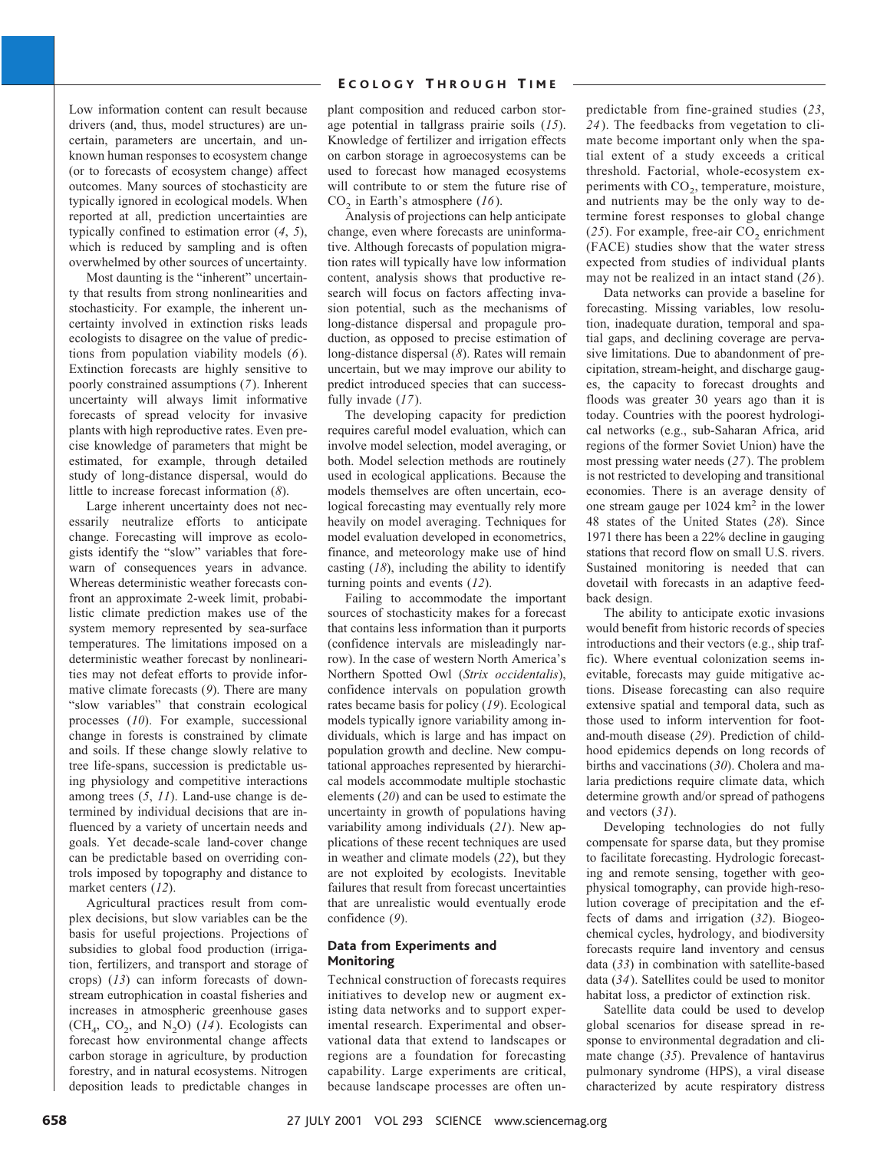#### ECOLOGY THROUGH TIME

Low information content can result because drivers (and, thus, model structures) are uncertain, parameters are uncertain, and unknown human responses to ecosystem change (or to forecasts of ecosystem change) affect outcomes. Many sources of stochasticity are typically ignored in ecological models. When reported at all, prediction uncertainties are typically confined to estimation error (*4*, *5*), which is reduced by sampling and is often overwhelmed by other sources of uncertainty.

Most daunting is the "inherent" uncertainty that results from strong nonlinearities and stochasticity. For example, the inherent uncertainty involved in extinction risks leads ecologists to disagree on the value of predictions from population viability models (*6*). Extinction forecasts are highly sensitive to poorly constrained assumptions (*7*). Inherent uncertainty will always limit informative forecasts of spread velocity for invasive plants with high reproductive rates. Even precise knowledge of parameters that might be estimated, for example, through detailed study of long-distance dispersal, would do little to increase forecast information (*8*).

Large inherent uncertainty does not necessarily neutralize efforts to anticipate change. Forecasting will improve as ecologists identify the "slow" variables that forewarn of consequences years in advance. Whereas deterministic weather forecasts confront an approximate 2-week limit, probabilistic climate prediction makes use of the system memory represented by sea-surface temperatures. The limitations imposed on a deterministic weather forecast by nonlinearities may not defeat efforts to provide informative climate forecasts (*9*). There are many "slow variables" that constrain ecological processes (*10*). For example, successional change in forests is constrained by climate and soils. If these change slowly relative to tree life-spans, succession is predictable using physiology and competitive interactions among trees (*5*, *11*). Land-use change is determined by individual decisions that are influenced by a variety of uncertain needs and goals. Yet decade-scale land-cover change can be predictable based on overriding controls imposed by topography and distance to market centers (*12*).

Agricultural practices result from complex decisions, but slow variables can be the basis for useful projections. Projections of subsidies to global food production (irrigation, fertilizers, and transport and storage of crops) (*13*) can inform forecasts of downstream eutrophication in coastal fisheries and increases in atmospheric greenhouse gases (CH<sub>4</sub>, CO<sub>2</sub>, and N<sub>2</sub>O) ( $14$ ). Ecologists can forecast how environmental change affects carbon storage in agriculture, by production forestry, and in natural ecosystems. Nitrogen deposition leads to predictable changes in

plant composition and reduced carbon storage potential in tallgrass prairie soils (*15*). Knowledge of fertilizer and irrigation effects on carbon storage in agroecosystems can be used to forecast how managed ecosystems will contribute to or stem the future rise of CO<sub>2</sub> in Earth's atmosphere (16).

Analysis of projections can help anticipate change, even where forecasts are uninformative. Although forecasts of population migration rates will typically have low information content, analysis shows that productive research will focus on factors affecting invasion potential, such as the mechanisms of long-distance dispersal and propagule production, as opposed to precise estimation of long-distance dispersal (*8*). Rates will remain uncertain, but we may improve our ability to predict introduced species that can successfully invade (*17*).

The developing capacity for prediction requires careful model evaluation, which can involve model selection, model averaging, or both. Model selection methods are routinely used in ecological applications. Because the models themselves are often uncertain, ecological forecasting may eventually rely more heavily on model averaging. Techniques for model evaluation developed in econometrics, finance, and meteorology make use of hind casting (*18*), including the ability to identify turning points and events (*12*).

Failing to accommodate the important sources of stochasticity makes for a forecast that contains less information than it purports (confidence intervals are misleadingly narrow). In the case of western North America's Northern Spotted Owl (*Strix occidentalis*), confidence intervals on population growth rates became basis for policy (*19*). Ecological models typically ignore variability among individuals, which is large and has impact on population growth and decline. New computational approaches represented by hierarchical models accommodate multiple stochastic elements (*20*) and can be used to estimate the uncertainty in growth of populations having variability among individuals (*21*). New applications of these recent techniques are used in weather and climate models (*22*), but they are not exploited by ecologists. Inevitable failures that result from forecast uncertainties that are unrealistic would eventually erode confidence (*9*).

#### **Data from Experiments and Monitoring**

Technical construction of forecasts requires initiatives to develop new or augment existing data networks and to support experimental research. Experimental and observational data that extend to landscapes or regions are a foundation for forecasting capability. Large experiments are critical, because landscape processes are often un-

predictable from fine-grained studies (*23*, *24*). The feedbacks from vegetation to climate become important only when the spatial extent of a study exceeds a critical threshold. Factorial, whole-ecosystem experiments with  $CO<sub>2</sub>$ , temperature, moisture, and nutrients may be the only way to determine forest responses to global change  $(25)$ . For example, free-air  $CO<sub>2</sub>$  enrichment (FACE) studies show that the water stress expected from studies of individual plants may not be realized in an intact stand (*26*).

Data networks can provide a baseline for forecasting. Missing variables, low resolution, inadequate duration, temporal and spatial gaps, and declining coverage are pervasive limitations. Due to abandonment of precipitation, stream-height, and discharge gauges, the capacity to forecast droughts and floods was greater 30 years ago than it is today. Countries with the poorest hydrological networks (e.g., sub-Saharan Africa, arid regions of the former Soviet Union) have the most pressing water needs (*27*). The problem is not restricted to developing and transitional economies. There is an average density of one stream gauge per 1024 km2 in the lower 48 states of the United States (*28*). Since 1971 there has been a 22% decline in gauging stations that record flow on small U.S. rivers. Sustained monitoring is needed that can dovetail with forecasts in an adaptive feedback design.

The ability to anticipate exotic invasions would benefit from historic records of species introductions and their vectors (e.g., ship traffic). Where eventual colonization seems inevitable, forecasts may guide mitigative actions. Disease forecasting can also require extensive spatial and temporal data, such as those used to inform intervention for footand-mouth disease (*29*). Prediction of childhood epidemics depends on long records of births and vaccinations (*30*). Cholera and malaria predictions require climate data, which determine growth and/or spread of pathogens and vectors (*31*).

Developing technologies do not fully compensate for sparse data, but they promise to facilitate forecasting. Hydrologic forecasting and remote sensing, together with geophysical tomography, can provide high-resolution coverage of precipitation and the effects of dams and irrigation (*32*). Biogeochemical cycles, hydrology, and biodiversity forecasts require land inventory and census data (*33*) in combination with satellite-based data (*34*). Satellites could be used to monitor habitat loss, a predictor of extinction risk.

Satellite data could be used to develop global scenarios for disease spread in response to environmental degradation and climate change (*35*). Prevalence of hantavirus pulmonary syndrome (HPS), a viral disease characterized by acute respiratory distress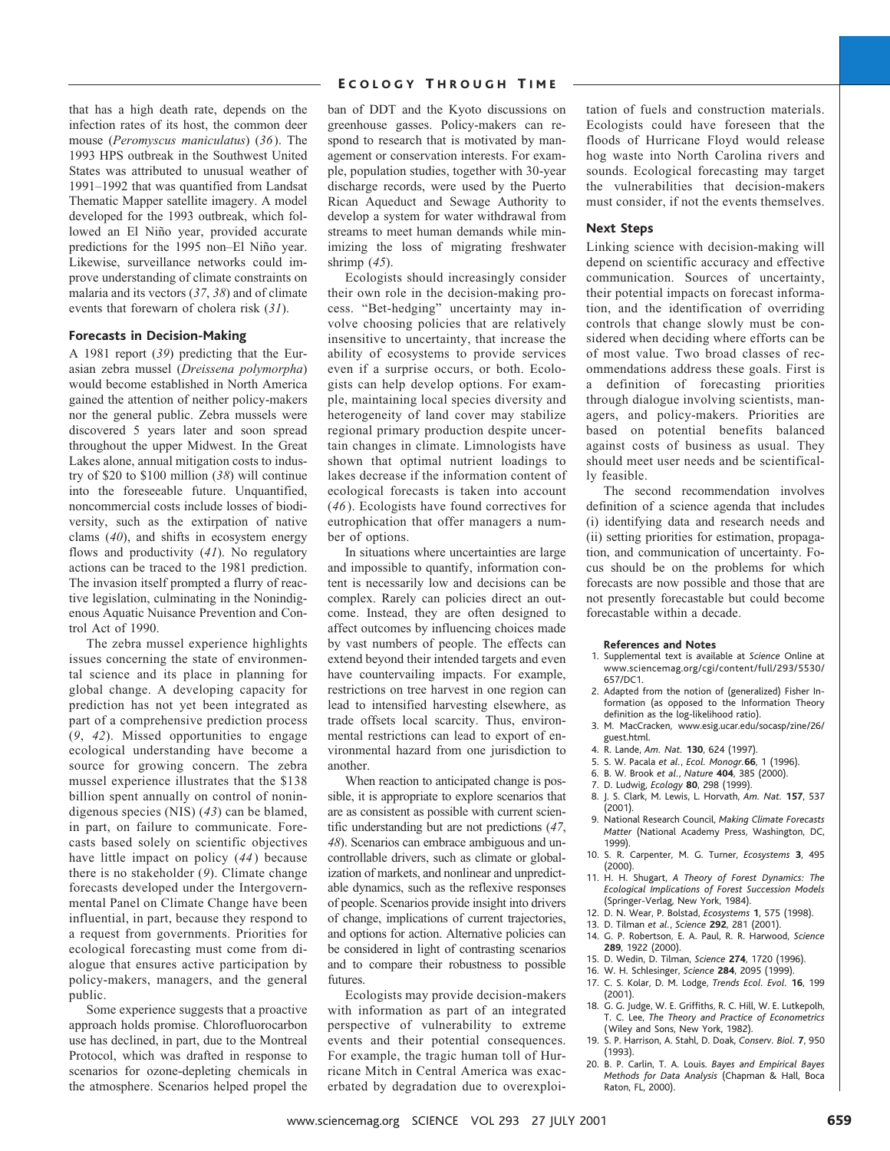#### ECOLOGY THROUGH TIME

that has a high death rate, depends on the infection rates of its host, the common deer mouse (*Peromyscus maniculatus*) (*36*). The 1993 HPS outbreak in the Southwest United States was attributed to unusual weather of 1991–1992 that was quantified from Landsat Thematic Mapper satellite imagery. A model developed for the 1993 outbreak, which followed an El Niño year, provided accurate predictions for the 1995 non–El Niño year. Likewise, surveillance networks could improve understanding of climate constraints on malaria and its vectors (*37*, *38*) and of climate events that forewarn of cholera risk (*31*).

#### **Forecasts in Decision-Making**

A 1981 report (*39*) predicting that the Eurasian zebra mussel (*Dreissena polymorpha*) would become established in North America gained the attention of neither policy-makers nor the general public. Zebra mussels were discovered 5 years later and soon spread throughout the upper Midwest. In the Great Lakes alone, annual mitigation costs to industry of \$20 to \$100 million (*38*) will continue into the foreseeable future. Unquantified, noncommercial costs include losses of biodiversity, such as the extirpation of native clams (*40*), and shifts in ecosystem energy flows and productivity (*41*). No regulatory actions can be traced to the 1981 prediction. The invasion itself prompted a flurry of reactive legislation, culminating in the Nonindigenous Aquatic Nuisance Prevention and Control Act of 1990.

The zebra mussel experience highlights issues concerning the state of environmental science and its place in planning for global change. A developing capacity for prediction has not yet been integrated as part of a comprehensive prediction process (*9*, *42*). Missed opportunities to engage ecological understanding have become a source for growing concern. The zebra mussel experience illustrates that the \$138 billion spent annually on control of nonindigenous species (NIS) (*43*) can be blamed, in part, on failure to communicate. Forecasts based solely on scientific objectives have little impact on policy (*44*) because there is no stakeholder (*9*). Climate change forecasts developed under the Intergovernmental Panel on Climate Change have been influential, in part, because they respond to a request from governments. Priorities for ecological forecasting must come from dialogue that ensures active participation by policy-makers, managers, and the general public.

Some experience suggests that a proactive approach holds promise. Chlorofluorocarbon use has declined, in part, due to the Montreal Protocol, which was drafted in response to scenarios for ozone-depleting chemicals in the atmosphere. Scenarios helped propel the ban of DDT and the Kyoto discussions on greenhouse gasses. Policy-makers can respond to research that is motivated by management or conservation interests. For example, population studies, together with 30-year discharge records, were used by the Puerto Rican Aqueduct and Sewage Authority to develop a system for water withdrawal from streams to meet human demands while minimizing the loss of migrating freshwater shrimp (*45*).

Ecologists should increasingly consider their own role in the decision-making process. "Bet-hedging" uncertainty may involve choosing policies that are relatively insensitive to uncertainty, that increase the ability of ecosystems to provide services even if a surprise occurs, or both. Ecologists can help develop options. For example, maintaining local species diversity and heterogeneity of land cover may stabilize regional primary production despite uncertain changes in climate. Limnologists have shown that optimal nutrient loadings to lakes decrease if the information content of ecological forecasts is taken into account (*46*). Ecologists have found correctives for eutrophication that offer managers a number of options.

In situations where uncertainties are large and impossible to quantify, information content is necessarily low and decisions can be complex. Rarely can policies direct an outcome. Instead, they are often designed to affect outcomes by influencing choices made by vast numbers of people. The effects can extend beyond their intended targets and even have countervailing impacts. For example, restrictions on tree harvest in one region can lead to intensified harvesting elsewhere, as trade offsets local scarcity. Thus, environmental restrictions can lead to export of environmental hazard from one jurisdiction to another.

When reaction to anticipated change is possible, it is appropriate to explore scenarios that are as consistent as possible with current scientific understanding but are not predictions (*47*, *48*). Scenarios can embrace ambiguous and uncontrollable drivers, such as climate or globalization of markets, and nonlinear and unpredictable dynamics, such as the reflexive responses of people. Scenarios provide insight into drivers of change, implications of current trajectories, and options for action. Alternative policies can be considered in light of contrasting scenarios and to compare their robustness to possible futures.

Ecologists may provide decision-makers with information as part of an integrated perspective of vulnerability to extreme events and their potential consequences. For example, the tragic human toll of Hurricane Mitch in Central America was exacerbated by degradation due to overexploi-

tation of fuels and construction materials. Ecologists could have foreseen that the floods of Hurricane Floyd would release hog waste into North Carolina rivers and sounds. Ecological forecasting may target the vulnerabilities that decision-makers must consider, if not the events themselves.

#### **Next Steps**

Linking science with decision-making will depend on scientific accuracy and effective communication. Sources of uncertainty, their potential impacts on forecast information, and the identification of overriding controls that change slowly must be considered when deciding where efforts can be of most value. Two broad classes of recommendations address these goals. First is a definition of forecasting priorities through dialogue involving scientists, managers, and policy-makers. Priorities are based on potential benefits balanced against costs of business as usual. They should meet user needs and be scientifically feasible.

The second recommendation involves definition of a science agenda that includes (i) identifying data and research needs and (ii) setting priorities for estimation, propagation, and communication of uncertainty. Focus should be on the problems for which forecasts are now possible and those that are not presently forecastable but could become forecastable within a decade.

#### **References and Notes**

- 1. Supplemental text is available at *Science* Online at www.sciencemag.org/cgi/content/full/293/5530/ 657/DC1.
- 2. Adapted from the notion of (generalized) Fisher Information (as opposed to the Information Theory definition as the log-likelihood ratio).
- 3. M. MacCracken, www.esig.ucar.edu/socasp/zine/26/ guest.html.
- 4. R. Lande, *Am. Nat.* **130**, 624 (1997).
- 5. S. W. Pacala *et al.*, *Ecol. Monogr.***66**, 1 (1996).
- 6. B. W. Brook *et al.*, *Nature* **404**, 385 (2000).
- 7. D. Ludwig, *Ecology* **80**, 298 (1999).
- 8. J. S. Clark, M. Lewis, L. Horvath, *Am. Nat.* **157**, 537 (2001).
- 9. National Research Council, *Making Climate Forecasts Matter* (National Academy Press, Washington, DC, 1999).
- 10. S. R. Carpenter, M. G. Turner, *Ecosystems* **3**, 495 (2000).
- 11. H. H. Shugart, *A Theory of Forest Dynamics: The Ecological Implications of Forest Succession Models* (Springer-Verlag, New York, 1984).
- 12. D. N. Wear, P. Bolstad, *Ecosystems* **1**, 575 (1998).
	- 13. D. Tilman *et al.*, *Science* **292**, 281 (2001).
	- 14. G. P. Robertson, E. A. Paul, R. R. Harwood, *Science* **289**, 1922 (2000).
	- 15. D. Wedin, D. Tilman, *Science* **274**, 1720 (1996).
	- 16. W. H. Schlesinger, *Science* **284**, 2095 (1999).
	- 17. C. S. Kolar, D. M. Lodge, *Trends Ecol. Evol.* **16**, 199 (2001).
	- 18. G. G. Judge, W. E. Griffiths, R. C. Hill, W. E. Lutkepolh, T. C. Lee, *The Theory and Practice of Econometrics* (Wiley and Sons, New York, 1982).
	- 19. S. P. Harrison, A. Stahl, D. Doak, *Conserv. Biol.* **7**, 950 (1993).
	- 20. B. P. Carlin, T. A. Louis. *Bayes and Empirical Bayes Methods for Data Analysis* (Chapman & Hall, Boca Raton, FL, 2000).